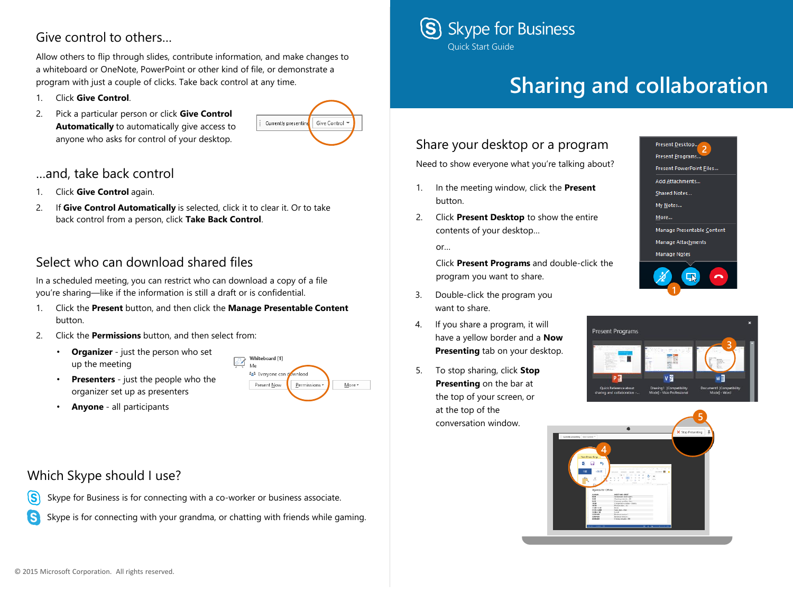## Give control to others…

Allow others to flip through slides, contribute information, and make changes to a whiteboard or OneNote, PowerPoint or other kind of file, or demonstrate a program with just a couple of clicks. Take back control at any time.

- 1. Click **Give Control**.
- 2. Pick a particular person or click **Give Control Automatically** to automatically give access to anyone who asks for control of your desktop.



#### …and, take back control

- 1. Click **Give Control** again.
- 2. If **Give Control Automatically** is selected, click it to clear it. Or to take back control from a person, click **Take Back Control**.

## Select who can download shared files

In a scheduled meeting, you can restrict who can download a copy of a file you're sharing—like if the information is still a draft or is confidential.

1. Click the **Present** button, and then click the **Manage Presentable Content**  button.

Whiteboard [1]

Present Now

vnload

Permissions

 $More *$ 

H Me 828 Everyone can

- 2. Click the **Permissions** button, and then select from:
	- **Organizer** just the person who set up the meeting
	- **Presenters** just the people who the organizer set up as presenters
	- **Anyone** all participants

### Which Skype should I use?

- Skype for Business is for connecting with a co-worker or business associate.  $\mathbf{\widehat{S}}$
- Skype is for connecting with your grandma, or chatting with friends while gaming. (S)



# **Sharing and collaboration**

## Share your desktop or a program

Need to show everyone what you're talking about?

- 1. In the meeting window, click the **Present** button.
- 2. Click **Present Desktop** to show the entire contents of your desktop…

or…

Click **Present Programs** and double-click the program you want to share.

- 3. Double-click the program you want to share.
- 4. If you share a program, it will have a yellow border and a **Now Presenting** tab on your desktop.
- 5. To stop sharing, click **Stop Presenting** on the bar at the top of your screen, or at the top of the conversation window.